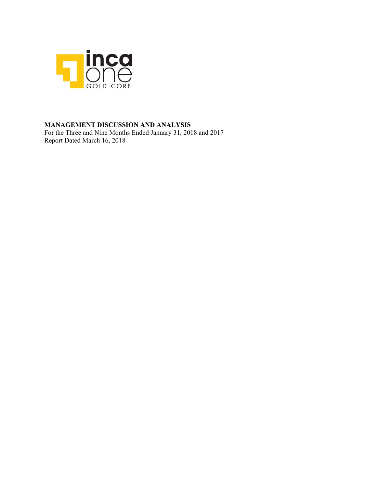

# **MANAGEMENT DISCUSSION AND ANALYSIS**

For the Three and Nine Months Ended January 31, 2018 and 2017 Report Dated March 16, 2018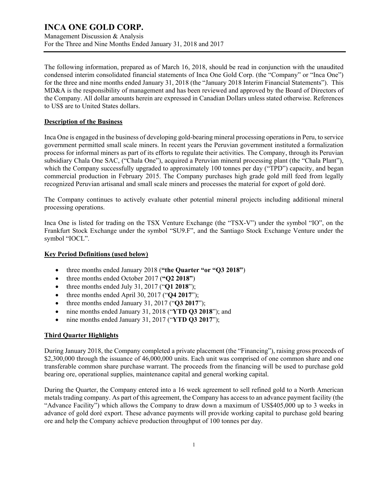Management Discussion & Analysis For the Three and Nine Months Ended January 31, 2018 and 2017

The following information, prepared as of March 16, 2018, should be read in conjunction with the unaudited condensed interim consolidated financial statements of Inca One Gold Corp. (the "Company" or "Inca One") for the three and nine months ended January 31, 2018 (the "January 2018 Interim Financial Statements"). This MD&A is the responsibility of management and has been reviewed and approved by the Board of Directors of the Company. All dollar amounts herein are expressed in Canadian Dollars unless stated otherwise. References to US\$ are to United States dollars.

### **Description of the Business**

Inca One is engaged in the business of developing gold-bearing mineral processing operations in Peru, to service government permitted small scale miners. In recent years the Peruvian government instituted a formalization process for informal miners as part of its efforts to regulate their activities. The Company, through its Peruvian subsidiary Chala One SAC, ("Chala One"), acquired a Peruvian mineral processing plant (the "Chala Plant"), which the Company successfully upgraded to approximately 100 tonnes per day ("TPD") capacity, and began commercial production in February 2015. The Company purchases high grade gold mill feed from legally recognized Peruvian artisanal and small scale miners and processes the material for export of gold doré.

The Company continues to actively evaluate other potential mineral projects including additional mineral processing operations.

Inca One is listed for trading on the TSX Venture Exchange (the "TSX-V") under the symbol "IO", on the Frankfurt Stock Exchange under the symbol "SU9.F", and the Santiago Stock Exchange Venture under the symbol "IOCL".

### **Key Period Definitions (used below)**

- three months ended January 2018 (**"the Quarter "or "Q3 2018"**)
- three months ended October 2017 (**"Q2 2018"**)
- three months ended July 31, 2017 ("**Q1 2018**");
- three months ended April 30, 2017 ("**Q4 2017**");
- three months ended January 31, 2017 ("**Q3 2017**");
- nine months ended January 31, 2018 ("**YTD Q3 2018**"); and
- nine months ended January 31, 2017 ("**YTD Q3 2017**");

### **Third Quarter Highlights**

During January 2018, the Company completed a private placement (the "Financing"), raising gross proceeds of \$2,300,000 through the issuance of 46,000,000 units. Each unit was comprised of one common share and one transferable common share purchase warrant. The proceeds from the financing will be used to purchase gold bearing ore, operational supplies, maintenance capital and general working capital.

During the Quarter, the Company entered into a 16 week agreement to sell refined gold to a North American metals trading company. As part of this agreement, the Company has access to an advance payment facility (the "Advance Facility") which allows the Company to draw down a maximum of US\$405,000 up to 3 weeks in advance of gold doré export. These advance payments will provide working capital to purchase gold bearing ore and help the Company achieve production throughput of 100 tonnes per day.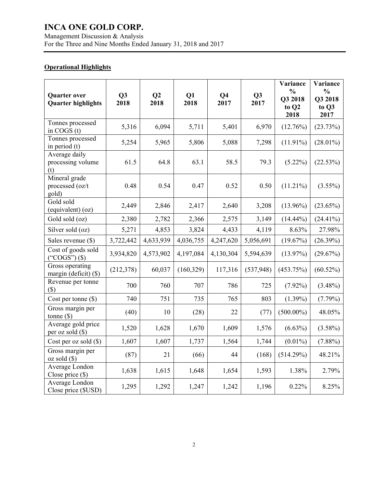### Management Discussion & Analysis For the Three and Nine Months Ended January 31, 2018 and 2017

### **Operational Highlights**

| <b>Quarter over</b><br><b>Quarter highlights</b> | Q3<br>2018 | Q2<br>2018 | Q1<br>2018 | Q <sub>4</sub><br>2017 | Q3<br>2017 | Variance<br>$\frac{0}{0}$<br>Q3 2018<br>to Q2<br>2018 | Variance<br>$\frac{0}{0}$<br>Q3 2018<br>to Q3<br>2017 |
|--------------------------------------------------|------------|------------|------------|------------------------|------------|-------------------------------------------------------|-------------------------------------------------------|
| Tonnes processed<br>in COGS $(t)$                | 5,316      | 6,094      | 5,711      | 5,401                  | 6,970      | (12.76%)                                              | (23.73%)                                              |
| Tonnes processed<br>in period $(t)$              | 5,254      | 5,965      | 5,806      | 5,088                  | 7,298      | $(11.91\%)$                                           | $(28.01\%)$                                           |
| Average daily<br>processing volume<br>(t)        | 61.5       | 64.8       | 63.1       | 58.5                   | 79.3       | $(5.22\%)$                                            | (22.53%)                                              |
| Mineral grade<br>processed (oz/t<br>gold)        | 0.48       | 0.54       | 0.47       | 0.52                   | 0.50       | $(11.21\%)$                                           | $(3.55\%)$                                            |
| Gold sold<br>(equivalent) (oz)                   | 2,449      | 2,846      | 2,417      | 2,640                  | 3,208      | $(13.96\%)$                                           | $(23.65\%)$                                           |
| Gold sold (oz)                                   | 2,380      | 2,782      | 2,366      | 2,575                  | 3,149      | $(14.44\%)$                                           | $(24.41\%)$                                           |
| Silver sold (oz)                                 | 5,271      | 4,853      | 3,824      | 4,433                  | 4,119      | 8.63%                                                 | 27.98%                                                |
| Sales revenue $(\$)$                             | 3,722,442  | 4,633,939  | 4,036,755  | 4,247,620              | 5,056,691  | (19.67%)                                              | $(26.39\%)$                                           |
| Cost of goods sold<br>$("COGS")$ $(\$)$          | 3,934,820  | 4,573,902  | 4,197,084  | 4,130,304              | 5,594,639  | $(13.97\%)$                                           | (29.67%)                                              |
| Gross operating<br>margin (deficit) (\$)         | (212, 378) | 60,037     | (160, 329) | 117,316                | (537, 948) | (453.75%)                                             | $(60.52\%)$                                           |
| Revenue per tonne<br>$(\$)$                      | 700        | 760        | 707        | 786                    | 725        | $(7.92\%)$                                            | $(3.48\%)$                                            |
| Cost per tonne (\$)                              | 740        | 751        | 735        | 765                    | 803        | $(1.39\%)$                                            | $(7.79\%)$                                            |
| Gross margin per<br>tonne $(\$)$                 | (40)       | 10         | (28)       | 22                     | (77)       | $(500.00\%)$                                          | 48.05%                                                |
| Average gold price<br>per oz sold (\$)           | 1,520      | 1,628      | 1,670      | 1,609                  | 1,576      | $(6.63\%)$                                            | $(3.58\%)$                                            |
| Cost per oz sold $(\$)$                          | 1,607      | 1,607      | 1,737      | 1,564                  | 1,744      | $(0.01\%)$                                            | $(7.88\%)$                                            |
| Gross margin per<br>$oz$ sold $(\$)$             | (87)       | 21         | (66)       | 44                     | (168)      | (514.29%)                                             | 48.21%                                                |
| Average London<br>Close price $(\$)$             | 1,638      | 1,615      | 1,648      | 1,654                  | 1,593      | 1.38%                                                 | 2.79%                                                 |
| Average London<br>Close price (\$USD)            | 1,295      | 1,292      | 1,247      | 1,242                  | 1,196      | 0.22%                                                 | 8.25%                                                 |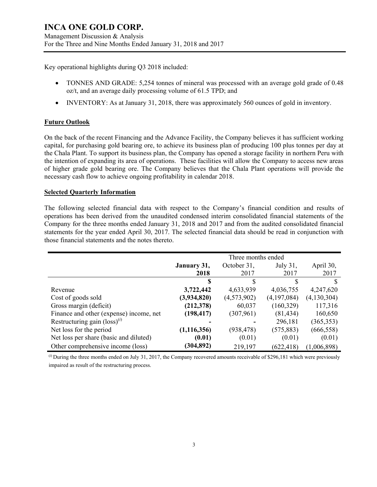Key operational highlights during Q3 2018 included:

- TONNES AND GRADE: 5,254 tonnes of mineral was processed with an average gold grade of 0.48 oz/t, and an average daily processing volume of 61.5 TPD; and
- INVENTORY: As at January 31, 2018, there was approximately 560 ounces of gold in inventory.

### **Future Outlook**

On the back of the recent Financing and the Advance Facility, the Company believes it has sufficient working capital, for purchasing gold bearing ore, to achieve its business plan of producing 100 plus tonnes per day at the Chala Plant. To support its business plan, the Company has opened a storage facility in northern Peru with the intention of expanding its area of operations. These facilities will allow the Company to access new areas of higher grade gold bearing ore. The Company believes that the Chala Plant operations will provide the necessary cash flow to achieve ongoing profitability in calendar 2018.

### **Selected Quarterly Information**

The following selected financial data with respect to the Company's financial condition and results of operations has been derived from the unaudited condensed interim consolidated financial statements of the Company for the three months ended January 31, 2018 and 2017 and from the audited consolidated financial statements for the year ended April 30, 2017. The selected financial data should be read in conjunction with those financial statements and the notes thereto.

|                                          | Three months ended |             |             |               |
|------------------------------------------|--------------------|-------------|-------------|---------------|
|                                          | January 31,        | October 31, | July 31,    | April 30,     |
|                                          | 2018               | 2017        | 2017        | 2017          |
|                                          | S                  | S           |             |               |
| Revenue                                  | 3,722,442          | 4,633,939   | 4,036,755   | 4,247,620     |
| Cost of goods sold                       | (3,934,820)        | (4,573,902) | (4,197,084) | (4, 130, 304) |
| Gross margin (deficit)                   | (212, 378)         | 60,037      | (160, 329)  | 117,316       |
| Finance and other (expense) income, net  | (198, 417)         | (307, 961)  | (81, 434)   | 160,650       |
| Restructuring gain $(\text{loss})^{(i)}$ |                    |             | 296,181     | (365, 353)    |
| Net loss for the period                  | (1, 116, 356)      | (938, 478)  | (575, 883)  | (666, 558)    |
| Net loss per share (basic and diluted)   | (0.01)             | (0.01)      | (0.01)      | (0.01)        |
| Other comprehensive income (loss)        | (304, 892)         | 219,197     | (622, 418)  | (1,006,898)   |

(*i*) During the three months ended on July 31, 2017, the Company recovered amounts receivable of \$296,181 which were previously impaired as result of the restructuring process.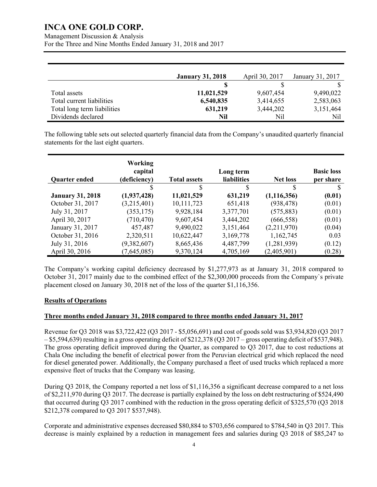Management Discussion & Analysis

For the Three and Nine Months Ended January 31, 2018 and 2017

|                             | <b>January 31, 2018</b> | April 30, 2017 | January 31, 2017 |
|-----------------------------|-------------------------|----------------|------------------|
|                             |                         |                |                  |
| Total assets                | 11,021,529              | 9,607,454      | 9,490,022        |
| Total current liabilities   | 6,540,835               | 3,414,655      | 2,583,063        |
| Total long term liabilities | 631,219                 | 3,444,202      | 3,151,464        |
| Dividends declared          | Nil                     | Nil            | Nil              |

The following table sets out selected quarterly financial data from the Company's unaudited quarterly financial statements for the last eight quarters.

| <b>Quarter ended</b>    | Working<br>capital<br>(deficiency) | <b>Total assets</b> | Long term<br><b>liabilities</b> | <b>Net loss</b> | <b>Basic loss</b><br>per share |
|-------------------------|------------------------------------|---------------------|---------------------------------|-----------------|--------------------------------|
|                         | S                                  | S                   | \$                              | \$              |                                |
| <b>January 31, 2018</b> | (1,937,428)                        | 11,021,529          | 631,219                         | (1, 116, 356)   | (0.01)                         |
| October 31, 2017        | (3,215,401)                        | 10,111,723          | 651,418                         | (938, 478)      | (0.01)                         |
| July 31, 2017           | (353, 175)                         | 9,928,184           | 3,377,701                       | (575, 883)      | (0.01)                         |
| April 30, 2017          | (710, 470)                         | 9,607,454           | 3,444,202                       | (666, 558)      | (0.01)                         |
| January 31, 2017        | 457,487                            | 9,490,022           | 3,151,464                       | (2,211,970)     | (0.04)                         |
| October 31, 2016        | 2,320,511                          | 10,622,447          | 3,169,778                       | 1,162,745       | 0.03                           |
| July 31, 2016           | (9,382,607)                        | 8,665,436           | 4,487,799                       | (1,281,939)     | (0.12)                         |
| April 30, 2016          | (7,645,085)                        | 9,370,124           | 4,705,169                       | (2,405,901)     | (0.28)                         |

The Company's working capital deficiency decreased by \$1,277,973 as at January 31, 2018 compared to October 31, 2017 mainly due to the combined effect of the \$2,300,000 proceeds from the Company`s private placement closed on January 30, 2018 net of the loss of the quarter \$1,116,356.

### **Results of Operations**

### **Three months ended January 31, 2018 compared to three months ended January 31, 2017**

Revenue for Q3 2018 was \$3,722,422 (Q3 2017 - \$5,056,691) and cost of goods sold was \$3,934,820 (Q3 2017 – \$5,594,639) resulting in a gross operating deficit of \$212,378 (Q3 2017 – gross operating deficit of \$537,948). The gross operating deficit improved during the Quarter, as compared to Q3 2017, due to cost reductions at Chala One including the benefit of electrical power from the Peruvian electrical grid which replaced the need for diesel generated power. Additionally, the Company purchased a fleet of used trucks which replaced a more expensive fleet of trucks that the Company was leasing.

During Q3 2018, the Company reported a net loss of \$1,116,356 a significant decrease compared to a net loss of \$2,211,970 during Q3 2017. The decrease is partially explained by the loss on debt restructuring of \$524,490 that occurred during Q3 2017 combined with the reduction in the gross operating deficit of \$325,570 (Q3 2018 \$212,378 compared to Q3 2017 \$537,948).

Corporate and administrative expenses decreased \$80,884 to \$703,656 compared to \$784,540 in Q3 2017. This decrease is mainly explained by a reduction in management fees and salaries during Q3 2018 of \$85,247 to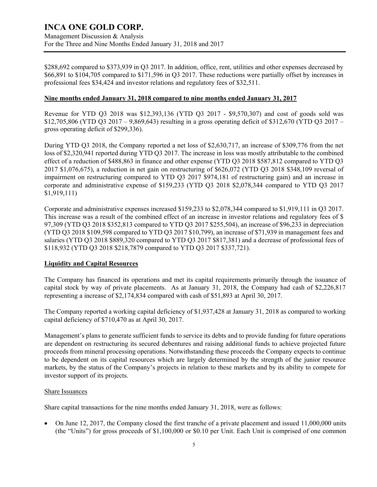\$288,692 compared to \$373,939 in Q3 2017. In addition, office, rent, utilities and other expenses decreased by \$66,891 to \$104,705 compared to \$171,596 in Q3 2017. These reductions were partially offset by increases in professional fees \$34,424 and investor relations and regulatory fees of \$32,511.

### **Nine months ended January 31, 2018 compared to nine months ended January 31, 2017**

Revenue for YTD Q3 2018 was \$12,393,136 (YTD Q3 2017 - \$9,570,307) and cost of goods sold was \$12,705,806 (YTD Q3 2017 – 9,869,643) resulting in a gross operating deficit of \$312,670 (YTD Q3 2017 – gross operating deficit of \$299,336).

During YTD Q3 2018, the Company reported a net loss of \$2,630,717, an increase of \$309,776 from the net loss of \$2,320,941 reported during YTD Q3 2017. The increase in loss was mostly attributable to the combined effect of a reduction of \$488,863 in finance and other expense (YTD Q3 2018 \$587,812 compared to YTD Q3 2017 \$1,076,675), a reduction in net gain on restructuring of \$626,072 (YTD Q3 2018 \$348,109 reversal of impairment on restructuring compared to YTD Q3 2017 \$974,181 of restructuring gain) and an increase in corporate and administrative expense of \$159,233 (YTD Q3 2018 \$2,078,344 compared to YTD Q3 2017 \$1,919,111)

Corporate and administrative expenses increased \$159,233 to \$2,078,344 compared to \$1,919,111 in Q3 2017. This increase was a result of the combined effect of an increase in investor relations and regulatory fees of \$ 97,309 (YTD Q3 2018 \$352,813 compared to YTD Q3 2017 \$255,504), an increase of \$96,233 in depreciation (YTD Q3 2018 \$109,598 compared to YTD Q3 2017 \$10,799), an increase of \$71,939 in management fees and salaries (YTD Q3 2018 \$889,320 compared to YTD Q3 2017 \$817,381) and a decrease of professional fees of \$118,932 (YTD Q3 2018 \$218,7879 compared to YTD Q3 2017 \$337,721).

### **Liquidity and Capital Resources**

The Company has financed its operations and met its capital requirements primarily through the issuance of capital stock by way of private placements. As at January 31, 2018, the Company had cash of \$2,226,817 representing a increase of \$2,174,834 compared with cash of \$51,893 at April 30, 2017.

The Company reported a working capital deficiency of \$1,937,428 at January 31, 2018 as compared to working capital deficiency of \$710,470 as at April 30, 2017.

Management's plans to generate sufficient funds to service its debts and to provide funding for future operations are dependent on restructuring its secured debentures and raising additional funds to achieve projected future proceeds from mineral processing operations. Notwithstanding these proceeds the Company expects to continue to be dependent on its capital resources which are largely determined by the strength of the junior resource markets, by the status of the Company's projects in relation to these markets and by its ability to compete for investor support of its projects.

#### Share Issuances

Share capital transactions for the nine months ended January 31, 2018, were as follows:

 On June 12, 2017, the Company closed the first tranche of a private placement and issued 11,000,000 units (the "Units") for gross proceeds of \$1,100,000 or \$0.10 per Unit. Each Unit is comprised of one common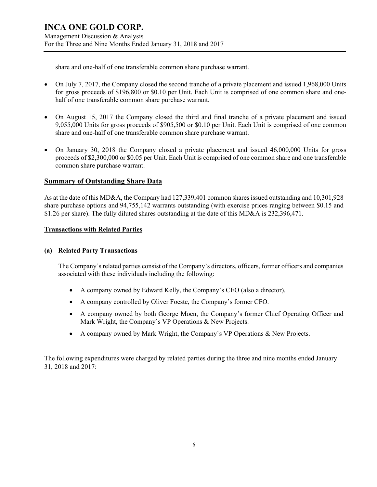share and one-half of one transferable common share purchase warrant.

- On July 7, 2017, the Company closed the second tranche of a private placement and issued 1,968,000 Units for gross proceeds of \$196,800 or \$0.10 per Unit. Each Unit is comprised of one common share and onehalf of one transferable common share purchase warrant.
- On August 15, 2017 the Company closed the third and final tranche of a private placement and issued 9,055,000 Units for gross proceeds of \$905,500 or \$0.10 per Unit. Each Unit is comprised of one common share and one-half of one transferable common share purchase warrant.
- On January 30, 2018 the Company closed a private placement and issued 46,000,000 Units for gross proceeds of \$2,300,000 or \$0.05 per Unit. Each Unit is comprised of one common share and one transferable common share purchase warrant.

### **Summary of Outstanding Share Data**

As at the date of this MD&A, the Company had 127,339,401 common shares issued outstanding and 10,301,928 share purchase options and 94,755,142 warrants outstanding (with exercise prices ranging between \$0.15 and \$1.26 per share). The fully diluted shares outstanding at the date of this MD&A is 232,396,471.

### **Transactions with Related Parties**

### **(a) Related Party Transactions**

The Company's related parties consist of the Company's directors, officers, former officers and companies associated with these individuals including the following:

- A company owned by Edward Kelly, the Company's CEO (also a director).
- A company controlled by Oliver Foeste, the Company's former CFO.
- A company owned by both George Moen, the Company's former Chief Operating Officer and Mark Wright, the Company`s VP Operations & New Projects.
- A company owned by Mark Wright, the Company`s VP Operations & New Projects.

The following expenditures were charged by related parties during the three and nine months ended January 31, 2018 and 2017: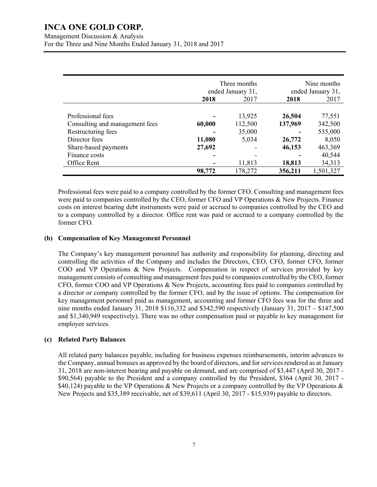|                                | Three months<br>ended January 31, |         | Nine months<br>ended January 31, |           |
|--------------------------------|-----------------------------------|---------|----------------------------------|-----------|
|                                | 2018                              | 2017    | 2018                             | 2017      |
|                                |                                   |         |                                  |           |
| Professional fees              |                                   | 13,925  | 26,504                           | 77,551    |
| Consulting and management fees | 60,000                            | 112,500 | 137,969                          | 342,500   |
| Restructuring fees             |                                   | 35,000  |                                  | 535,000   |
| Director fees                  | 11,080                            | 5,034   | 26,772                           | 8,050     |
| Share-based payments           | 27,692                            |         | 46,153                           | 463,369   |
| Finance costs                  |                                   |         |                                  | 40,544    |
| Office Rent                    |                                   | 11,813  | 18,813                           | 34,313    |
|                                | 98,772                            | 178,272 | 356,211                          | 1,501,327 |

Professional fees were paid to a company controlled by the former CFO. Consulting and management fees were paid to companies controlled by the CEO, former CFO and VP Operations & New Projects. Finance costs on interest bearing debt instruments were paid or accrued to companies controlled by the CEO and to a company controlled by a director. Office rent was paid or accrued to a company controlled by the former CFO.

### **(b) Compensation of Key Management Personnel**

The Company's key management personnel has authority and responsibility for planning, directing and controlling the activities of the Company and includes the Directors, CEO, CFO, former CFO, former COO and VP Operations & New Projects. Compensation in respect of services provided by key management consists of consulting and management fees paid to companies controlled by the CEO, former CFO, former COO and VP Operations & New Projects, accounting fees paid to companies controlled by a director or company controlled by the former CFO, and by the issue of options. The compensation for key management personnel paid as management, accounting and former CFO fees was for the three and nine months ended January 31, 2018 \$116,332 and \$342,590 respectively (January 31, 2017 – \$147,500 and \$1,340,949 respectively). There was no other compensation paid or payable to key management for employee services.

#### **(c) Related Party Balances**

All related party balances payable, including for business expenses reimbursements, interim advances to the Company, annual bonuses as approved by the board of directors, and for services rendered as at January 31, 2018 are non-interest bearing and payable on demand, and are comprised of \$3,447 (April 30, 2017 - \$90,564) payable to the President and a company controlled by the President, \$364 (April 30, 2017 - \$40,124) payable to the VP Operations & New Projects or a company controlled by the VP Operations & New Projects and \$35,389 receivable, net of \$39,611 (April 30, 2017 - \$15,939) payable to directors.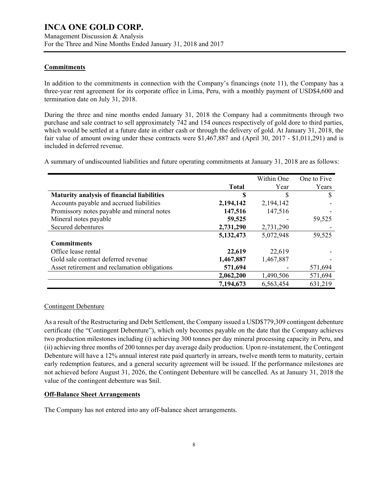### **Commitments**

In addition to the commitments in connection with the Company's financings (note 11), the Company has a three-year rent agreement for its corporate office in Lima, Peru, with a monthly payment of USD\$4,600 and termination date on July 31, 2018.

During the three and nine months ended January 31, 2018 the Company had a commitments through two purchase and sale contract to sell approximately 742 and 154 ounces respectively of gold dore to third parties, which would be settled at a future date in either cash or through the delivery of gold. At January 31, 2018, the fair value of amount owing under these contracts were \$1,467,887 and (April 30, 2017 - \$1,011,291) and is included in deferred revenue.

A summary of undiscounted liabilities and future operating commitments at January 31, 2018 are as follows:

|                                              |              | Within One | One to Five |
|----------------------------------------------|--------------|------------|-------------|
|                                              | <b>Total</b> | Year       | Years       |
| Maturity analysis of financial liabilities   | S            | S          |             |
| Accounts payable and accrued liabilities     | 2,194,142    | 2,194,142  |             |
| Promissory notes payable and mineral notes   | 147,516      | 147,516    |             |
| Mineral notes payable                        | 59,525       |            | 59,525      |
| Secured debentures                           | 2,731,290    | 2,731,290  |             |
|                                              | 5,132,473    | 5,072,948  | 59,525      |
| <b>Commitments</b>                           |              |            |             |
| Office lease rental                          | 22,619       | 22,619     |             |
| Gold sale contract deferred revenue          | 1,467,887    | 1,467,887  |             |
| Asset retirement and reclamation obligations | 571,694      |            | 571,694     |
|                                              | 2,062,200    | 1,490,506  | 571,694     |
|                                              | 7,194,673    | 6,563,454  | 631,219     |

### Contingent Debenture

As a result of the Restructuring and Debt Settlement, the Company issued a USD\$779,309 contingent debenture certificate (the "Contingent Debenture"), which only becomes payable on the date that the Company achieves two production milestones including (i) achieving 300 tonnes per day mineral processing capacity in Peru, and (ii) achieving three months of 200 tonnes per day average daily production. Upon re-instatement, the Contingent Debenture will have a 12% annual interest rate paid quarterly in arrears, twelve month term to maturity, certain early redemption features, and a general security agreement will be issued. If the performance milestones are not achieved before August 31, 2026, the Contingent Debenture will be cancelled. As at January 31, 2018 the value of the contingent debenture was \$nil.

### **Off-Balance Sheet Arrangements**

The Company has not entered into any off-balance sheet arrangements.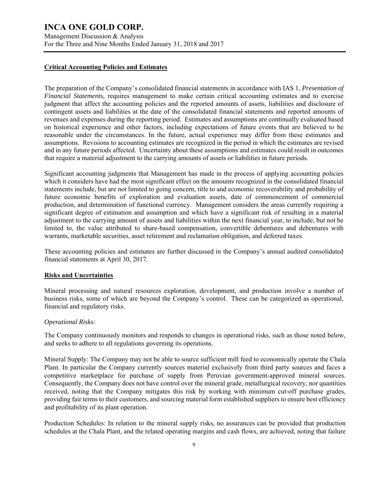Management Discussion & Analysis For the Three and Nine Months Ended January 31, 2018 and 2017

#### **Critical Accounting Policies and Estimates**

The preparation of the Company's consolidated financial statements in accordance with IAS 1, *Presentation of Financial Statements*, requires management to make certain critical accounting estimates and to exercise judgment that affect the accounting policies and the reported amounts of assets, liabilities and disclosure of contingent assets and liabilities at the date of the consolidated financial statements and reported amounts of revenues and expenses during the reporting period. Estimates and assumptions are continually evaluated based on historical experience and other factors, including expectations of future events that are believed to be reasonable under the circumstances. In the future, actual experience may differ from these estimates and assumptions. Revisions to accounting estimates are recognized in the period in which the estimates are revised and in any future periods affected. Uncertainty about these assumptions and estimates could result in outcomes that require a material adjustment to the carrying amounts of assets or liabilities in future periods.

Significant accounting judgments that Management has made in the process of applying accounting policies which it considers have had the most significant effect on the amounts recognized in the consolidated financial statements include, but are not limited to going concern, title to and economic recoverability and probability of future economic benefits of exploration and evaluation assets, date of commencement of commercial production, and determination of functional currency. Management considers the areas currently requiring a significant degree of estimation and assumption and which have a significant risk of resulting in a material adjustment to the carrying amount of assets and liabilities within the next financial year, to include, but not be limited to, the value attributed to share-based compensation, convertible debentures and debentures with warrants, marketable securities, asset retirement and reclamation obligation, and deferred taxes.

These accounting policies and estimates are further discussed in the Company's annual audited consolidated financial statements at April 30, 2017.

### **Risks and Uncertainties**

Mineral processing and natural resources exploration, development, and production involve a number of business risks, some of which are beyond the Company's control. These can be categorized as operational, financial and regulatory risks.

#### *Operational Risks:*

The Company continuously monitors and responds to changes in operational risks, such as those noted below, and seeks to adhere to all regulations governing its operations.

Mineral Supply: The Company may not be able to source sufficient mill feed to economically operate the Chala Plant. In particular the Company currently sources material exclusively from third party sources and faces a competitive marketplace for purchase of supply from Peruvian government-approved mineral sources. Consequently, the Company does not have control over the mineral grade, metallurgical recovery, nor quantities received, noting that the Company mitigates this risk by working with minimum cut-off purchase grades, providing fair terms to their customers, and sourcing material form established suppliers to ensure best efficiency and profitability of its plant operation.

Production Schedules: In relation to the mineral supply risks, no assurances can be provided that production schedules at the Chala Plant, and the related operating margins and cash flows, are achieved, noting that failure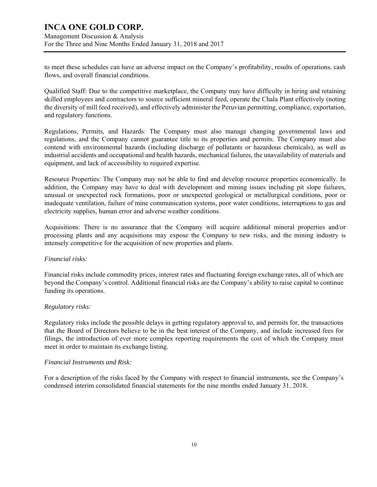Management Discussion & Analysis For the Three and Nine Months Ended January 31, 2018 and 2017

to meet these schedules can have an adverse impact on the Company's profitability, results of operations, cash flows, and overall financial conditions.

Qualified Staff: Due to the competitive marketplace, the Company may have difficulty in hiring and retaining skilled employees and contractors to source sufficient mineral feed, operate the Chala Plant effectively (noting the diversity of mill feed received), and effectively administer the Peruvian permitting, compliance, exportation, and regulatory functions.

Regulations, Permits, and Hazards: The Company must also manage changing governmental laws and regulations, and the Company cannot guarantee title to its properties and permits. The Company must also contend with environmental hazards (including discharge of pollutants or hazardous chemicals), as well as industrial accidents and occupational and health hazards, mechanical failures, the unavailability of materials and equipment, and lack of accessibility to required expertise.

Resource Properties: The Company may not be able to find and develop resource properties economically. In addition, the Company may have to deal with development and mining issues including pit slope failures, unusual or unexpected rock formations, poor or unexpected geological or metallurgical conditions, poor or inadequate ventilation, failure of mine communication systems, poor water conditions, interruptions to gas and electricity supplies, human error and adverse weather conditions.

Acquisitions: There is no assurance that the Company will acquire additional mineral properties and/or processing plants and any acquisitions may expose the Company to new risks, and the mining industry is intensely competitive for the acquisition of new properties and plants.

### *Financial risks:*

Financial risks include commodity prices, interest rates and fluctuating foreign exchange rates, all of which are beyond the Company's control. Additional financial risks are the Company's ability to raise capital to continue funding its operations.

### *Regulatory risks:*

Regulatory risks include the possible delays in getting regulatory approval to, and permits for, the transactions that the Board of Directors believe to be in the best interest of the Company, and include increased fees for filings, the introduction of ever more complex reporting requirements the cost of which the Company must meet in order to maintain its exchange listing.

### *Financial Instruments and Risk:*

For a description of the risks faced by the Company with respect to financial instruments, see the Company's condensed interim consolidated financial statements for the nine months ended January 31, 2018.